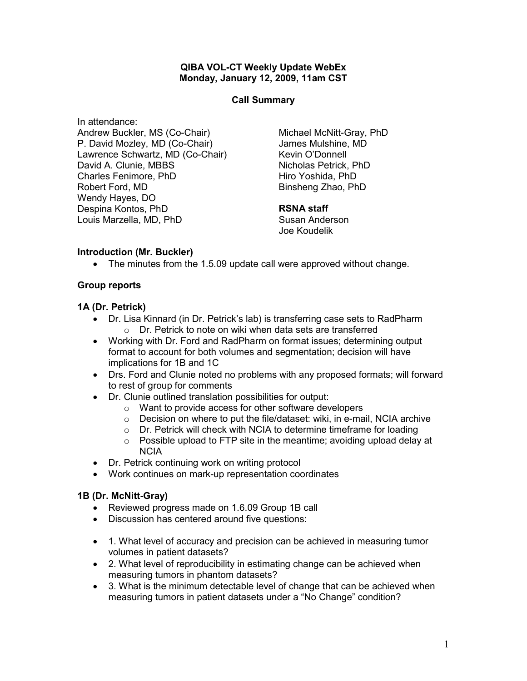#### QIBA VOL-CT Weekly Update WebEx Monday, January 12, 2009, 11am CST

#### Call Summary

In attendance: Andrew Buckler, MS (Co-Chair) P. David Mozley, MD (Co-Chair) Lawrence Schwartz, MD (Co-Chair) David A. Clunie, MBBS Charles Fenimore, PhD Robert Ford, MD Wendy Hayes, DO Despina Kontos, PhD Louis Marzella, MD, PhD

Michael McNitt-Gray, PhD James Mulshine, MD Kevin O'Donnell Nicholas Petrick, PhD Hiro Yoshida, PhD Binsheng Zhao, PhD

## RSNA staff

Susan Anderson Joe Koudelik

## Introduction (Mr. Buckler)

• The minutes from the 1.5.09 update call were approved without change.

#### Group reports

#### 1A (Dr. Petrick)

- Dr. Lisa Kinnard (in Dr. Petrick's lab) is transferring case sets to RadPharm o Dr. Petrick to note on wiki when data sets are transferred
- Working with Dr. Ford and RadPharm on format issues; determining output format to account for both volumes and segmentation; decision will have implications for 1B and 1C
- Drs. Ford and Clunie noted no problems with any proposed formats; will forward to rest of group for comments
- Dr. Clunie outlined translation possibilities for output:
	- o Want to provide access for other software developers
	- o Decision on where to put the file/dataset: wiki, in e-mail, NCIA archive
	- o Dr. Petrick will check with NCIA to determine timeframe for loading
	- $\circ$  Possible upload to FTP site in the meantime; avoiding upload delay at NCIA
- Dr. Petrick continuing work on writing protocol
- Work continues on mark-up representation coordinates

#### 1B (Dr. McNitt-Gray)

- Reviewed progress made on 1.6.09 Group 1B call
- Discussion has centered around five questions:
- 1. What level of accuracy and precision can be achieved in measuring tumor volumes in patient datasets?
- 2. What level of reproducibility in estimating change can be achieved when measuring tumors in phantom datasets?
- 3. What is the minimum detectable level of change that can be achieved when measuring tumors in patient datasets under a "No Change" condition?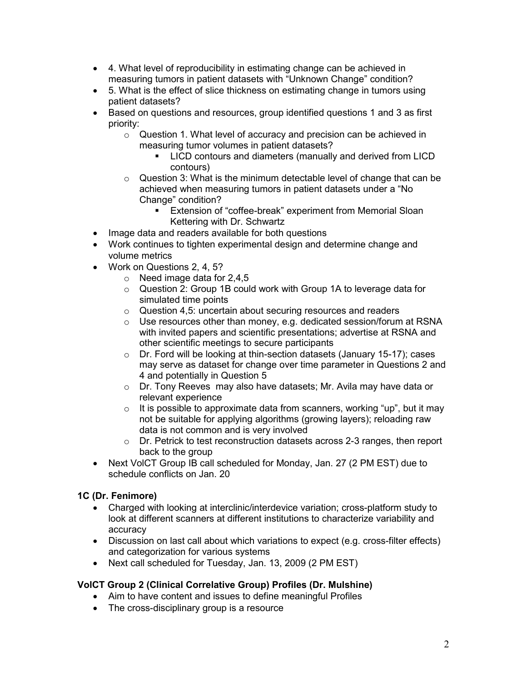- 4. What level of reproducibility in estimating change can be achieved in measuring tumors in patient datasets with "Unknown Change" condition?
- 5. What is the effect of slice thickness on estimating change in tumors using patient datasets?
- Based on questions and resources, group identified questions 1 and 3 as first priority:
	- o Question 1. What level of accuracy and precision can be achieved in measuring tumor volumes in patient datasets?
		- **-** LICD contours and diameters (manually and derived from LICD contours)
	- $\circ$  Question 3: What is the minimum detectable level of change that can be achieved when measuring tumors in patient datasets under a "No Change" condition?
		- **Extension of "coffee-break" experiment from Memorial Sloan** Kettering with Dr. Schwartz
- Image data and readers available for both questions
- Work continues to tighten experimental design and determine change and volume metrics
- Work on Questions 2, 4, 5?
	- $\circ$  Need image data for 2,4,5
	- o Question 2: Group 1B could work with Group 1A to leverage data for simulated time points
	- o Question 4,5: uncertain about securing resources and readers
	- o Use resources other than money, e.g. dedicated session/forum at RSNA with invited papers and scientific presentations; advertise at RSNA and other scientific meetings to secure participants
	- o Dr. Ford will be looking at thin-section datasets (January 15-17); cases may serve as dataset for change over time parameter in Questions 2 and 4 and potentially in Question 5
	- o Dr. Tony Reeves may also have datasets; Mr. Avila may have data or relevant experience
	- $\circ$  It is possible to approximate data from scanners, working "up", but it may not be suitable for applying algorithms (growing layers); reloading raw data is not common and is very involved
	- o Dr. Petrick to test reconstruction datasets across 2-3 ranges, then report back to the group
- Next VolCT Group IB call scheduled for Monday, Jan. 27 (2 PM EST) due to schedule conflicts on Jan. 20

# 1C (Dr. Fenimore)

- Charged with looking at interclinic/interdevice variation; cross-platform study to look at different scanners at different institutions to characterize variability and accuracy
- Discussion on last call about which variations to expect (e.g. cross-filter effects) and categorization for various systems
- Next call scheduled for Tuesday, Jan. 13, 2009 (2 PM EST)

# VolCT Group 2 (Clinical Correlative Group) Profiles (Dr. Mulshine)

- Aim to have content and issues to define meaningful Profiles
- The cross-disciplinary group is a resource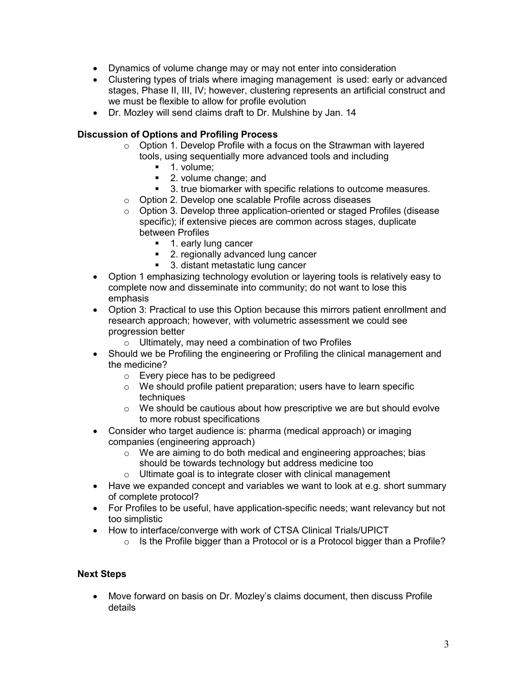- Dynamics of volume change may or may not enter into consideration
- Clustering types of trials where imaging management is used: early or advanced stages, Phase II, III, IV; however, clustering represents an artificial construct and we must be flexible to allow for profile evolution
- Dr. Mozley will send claims draft to Dr. Mulshine by Jan. 14

## Discussion of Options and Profiling Process

- o Option 1. Develop Profile with a focus on the Strawman with layered tools, using sequentially more advanced tools and including
	- **1.** volume:
	- **2. volume change; and**
	- 3. true biomarker with specific relations to outcome measures.
- o Option 2. Develop one scalable Profile across diseases
- o Option 3. Develop three application-oriented or staged Profiles (disease specific); if extensive pieces are common across stages, duplicate between Profiles
	- **1. early lung cancer**
	- **2. regionally advanced lung cancer**
	- 3. distant metastatic lung cancer
- Option 1 emphasizing technology evolution or layering tools is relatively easy to complete now and disseminate into community; do not want to lose this emphasis
- Option 3: Practical to use this Option because this mirrors patient enrollment and research approach; however, with volumetric assessment we could see progression better
	- $\circ$  Ultimately, may need a combination of two Profiles
- Should we be Profiling the engineering or Profiling the clinical management and the medicine?
	- o Every piece has to be pedigreed
	- o We should profile patient preparation; users have to learn specific techniques
	- o We should be cautious about how prescriptive we are but should evolve to more robust specifications
- Consider who target audience is: pharma (medical approach) or imaging companies (engineering approach)
	- o We are aiming to do both medical and engineering approaches; bias should be towards technology but address medicine too
	- $\circ$  Ultimate goal is to integrate closer with clinical management
- Have we expanded concept and variables we want to look at e.g. short summary of complete protocol?
- For Profiles to be useful, have application-specific needs; want relevancy but not too simplistic
- How to interface/converge with work of CTSA Clinical Trials/UPICT
	- o Is the Profile bigger than a Protocol or is a Protocol bigger than a Profile?

# Next Steps

• Move forward on basis on Dr. Mozley's claims document, then discuss Profile details